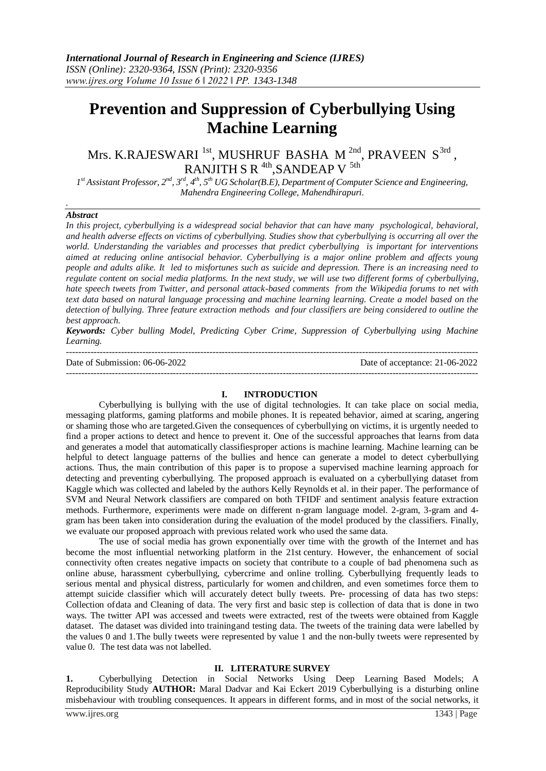# **Prevention and Suppression of Cyberbullying Using Machine Learning**

Mrs. K.RAJESWARI  $^{\text{1st}}$ , MUSHRUF BASHA M $^{\text{2nd}}$ , PRAVEEN  $\text{S}^{\text{3rd}}$  , RANJITH S R  $\rm ^{4th}$ ,SANDEAP V  $\rm ^{5th}$ 

 $I^{st}$ Assistant Professor,  $2^{nd}$ ,  $3^{rd}$ ,  $4^{th}$ ,  $5^{th}$  UG Scholar(B.E), Department of Computer Science and Engineering, *Mahendra Engineering College, Mahendhirapuri.*

#### *Abstract*

*.*

*In this project, cyberbullying is a widespread social behavior that can have many psychological, behavioral, and health adverse effects on victims of cyberbullying. Studies show that cyberbullying is occurring all over the world. Understanding the variables and processes that predict cyberbullying is important for interventions aimed at reducing online antisocial behavior. Cyberbullying is a major online problem and affects young people and adults alike. It led to misfortunes such as suicide and depression. There is an increasing need to regulate content on social media platforms. In the next study, we will use two different forms of cyberbullying, hate speech tweets from Twitter, and personal attack-based comments from the Wikipedia forums to net with text data based on natural language processing and machine learning learning. Create a model based on the detection of bullying. Three feature extraction methods and four classifiers are being considered to outline the best approach.*

*Keywords: Cyber bulling Model, Predicting Cyber Crime, Suppression of Cyberbullying using Machine Learning.*

| Date of Submission: 06-06-2022 | Date of acceptance: 21-06-2022 |
|--------------------------------|--------------------------------|
|                                |                                |

#### **I. INTRODUCTION**

Cyberbullying is bullying with the use of digital technologies. It can take place on social media, messaging platforms, gaming platforms and mobile phones. It is repeated behavior, aimed at scaring, angering or shaming those who are targeted.Given the consequences of cyberbullying on victims, it is urgently needed to find a proper actions to detect and hence to prevent it. One of the successful approaches that learns from data and generates a model that automatically classifiesproper actions is machine learning. Machine learning can be helpful to detect language patterns of the bullies and hence can generate a model to detect cyberbullying actions. Thus, the main contribution of this paper is to propose a supervised machine learning approach for detecting and preventing cyberbullying. The proposed approach is evaluated on a cyberbullying dataset from Kaggle which was collected and labeled by the authors Kelly Reynolds et al. in their paper. The performance of SVM and Neural Network classifiers are compared on both TFIDF and sentiment analysis feature extraction methods. Furthermore, experiments were made on different n-gram language model. 2-gram, 3-gram and 4 gram has been taken into consideration during the evaluation of the model produced by the classifiers. Finally, we evaluate our proposed approach with previous related work who used the same data.

The use of social media has grown exponentially over time with the growth of the Internet and has become the most influential networking platform in the 21st century. However, the enhancement of social connectivity often creates negative impacts on society that contribute to a couple of bad phenomena such as online abuse, harassment cyberbullying, cybercrime and online trolling. Cyberbullying frequently leads to serious mental and physical distress, particularly for women and children, and even sometimes force them to attempt suicide classifier which will accurately detect bully tweets. Pre- processing of data has two steps: Collection ofdata and Cleaning of data. The very first and basic step is collection of data that is done in two ways. The twitter API was accessed and tweets were extracted, rest of the tweets were obtained from Kaggle dataset. The dataset was divided into trainingand testing data. The tweets of the training data were labelled by the values 0 and 1.The bully tweets were represented by value 1 and the non-bully tweets were represented by value 0. The test data was not labelled.

#### **II. LITERATURE SURVEY**

**1.** Cyberbullying Detection in Social Networks Using Deep Learning Based Models; A Reproducibility Study **AUTHOR:** Maral Dadvar and Kai Eckert 2019 Cyberbullying is a disturbing online misbehaviour with troubling consequences. It appears in different forms, and in most of the social networks, it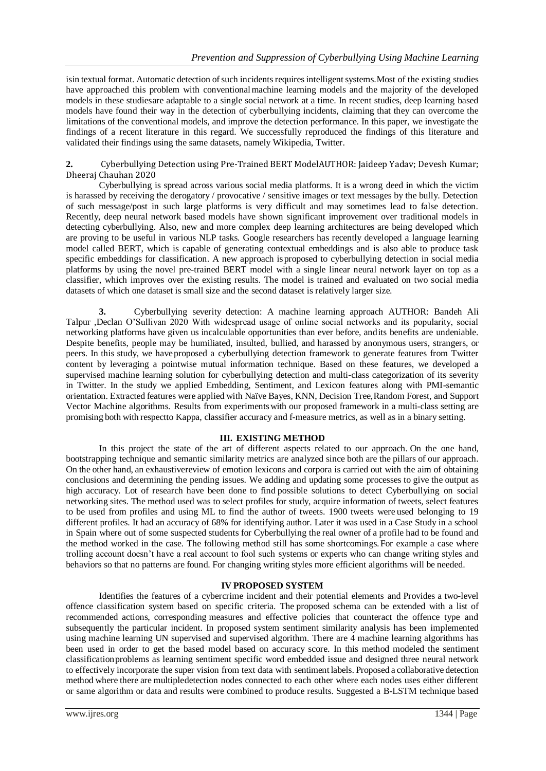isin textual format. Automatic detection of such incidents requires intelligent systems. Most of the existing studies have approached this problem with conventionalmachine learning models and the majority of the developed models in these studiesare adaptable to a single social network at a time. In recent studies, deep learning based models have found their way in the detection of cyberbullying incidents, claiming that they can overcome the limitations of the conventional models, and improve the detection performance. In this paper, we investigate the findings of a recent literature in this regard. We successfully reproduced the findings of this literature and validated their findings using the same datasets, namely Wikipedia, Twitter.

**2.** Cyberbullying Detection using Pre-Trained BERT ModelAUTHOR: Jaideep Yadav; Devesh Kumar; Dheeraj Chauhan 2020

Cyberbullying is spread across various social media platforms. It is a wrong deed in which the victim is harassed by receiving the derogatory / provocative / sensitive images or text messages by the bully. Detection of such message/post in such large platforms is very difficult and may sometimes lead to false detection. Recently, deep neural network based models have shown significant improvement over traditional models in detecting cyberbullying. Also, new and more complex deep learning architectures are being developed which are proving to be useful in various NLP tasks. Google researchers has recently developed a language learning model called BERT, which is capable of generating contextual embeddings and is also able to produce task specific embeddings for classification. A new approach isproposed to cyberbullying detection in social media platforms by using the novel pre-trained BERT model with a single linear neural network layer on top as a classifier, which improves over the existing results. The model is trained and evaluated on two social media datasets of which one dataset is small size and the second dataset is relatively larger size.

**3.** Cyberbullying severity detection: A machine learning approach AUTHOR: Bandeh Ali Talpur ,Declan O'Sullivan 2020 With widespread usage of online social networks and its popularity, social networking platforms have given us incalculable opportunities than ever before, andits benefits are undeniable. Despite benefits, people may be humiliated, insulted, bullied, and harassed by anonymous users, strangers, or peers. In this study, we haveproposed a cyberbullying detection framework to generate features from Twitter content by leveraging a pointwise mutual information technique. Based on these features, we developed a supervised machine learning solution for cyberbullying detection and multi-class categorization of its severity in Twitter. In the study we applied Embedding, Sentiment, and Lexicon features along with PMI-semantic orientation. Extracted features were applied with Naïve Bayes, KNN, Decision Tree,Random Forest, and Support Vector Machine algorithms. Results from experimentswith our proposed framework in a multi-class setting are promising both with respectto Kappa, classifier accuracy and f-measure metrics, as well as in a binary setting.

# **III. EXISTING METHOD**

In this project the state of the art of different aspects related to our approach. On the one hand, bootstrapping technique and semantic similarity metrics are analyzed since both are the pillars of our approach. On the other hand, an exhaustivereview of emotion lexicons and corpora is carried out with the aim of obtaining conclusions and determining the pending issues. We adding and updating some processes to give the output as high accuracy. Lot of research have been done to find possible solutions to detect Cyberbullying on social networking sites. The method used was to select profiles for study, acquire information of tweets, select features to be used from profiles and using ML to find the author of tweets. 1900 tweets were used belonging to 19 different profiles. It had an accuracy of 68% for identifying author. Later it was used in a Case Study in a school in Spain where out of some suspected students for Cyberbullying the real owner of a profile had to be found and the method worked in the case. The following method still has some shortcomings.For example a case where trolling account doesn't have a real account to fool such systems or experts who can change writing styles and behaviors so that no patterns are found. For changing writing styles more efficient algorithms will be needed.

# **IV PROPOSED SYSTEM**

Identifies the features of a cybercrime incident and their potential elements and Provides a two-level offence classification system based on specific criteria. The proposed schema can be extended with a list of recommended actions, corresponding measures and effective policies that counteract the offence type and subsequently the particular incident. In proposed system sentiment similarity analysis has been implemented using machine learning UN supervised and supervised algorithm. There are 4 machine learning algorithms has been used in order to get the based model based on accuracy score. In this method modeled the sentiment classificationproblems as learning sentiment specific word embedded issue and designed three neural network to effectively incorporate the super vision from text data with sentiment labels. Proposed a collaborative detection method where there are multipledetection nodes connected to each other where each nodes uses either different or same algorithm or data and results were combined to produce results. Suggested a B-LSTM technique based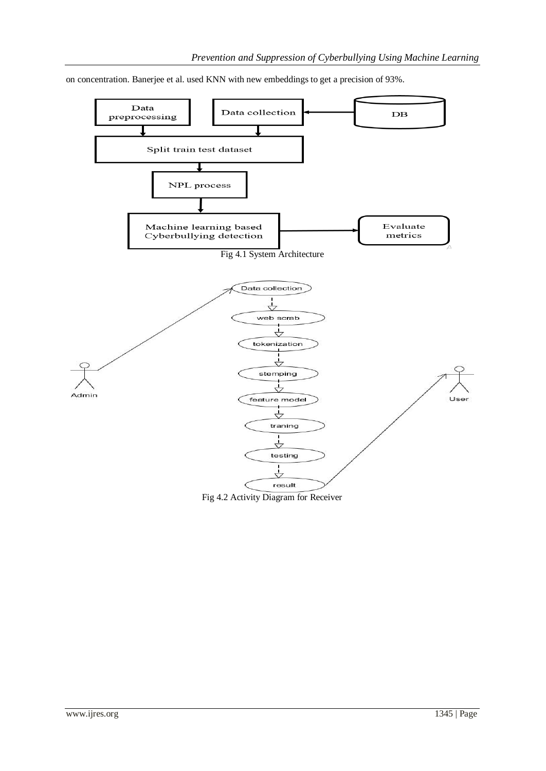

on concentration. Banerjee et al. used KNN with new embeddings to get a precision of 93%.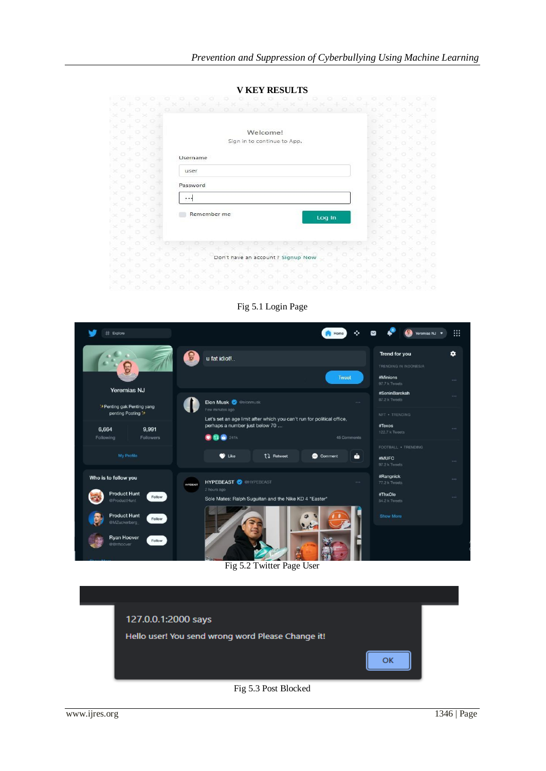|                                 | <b>V KEY RESULTS</b>              |         |                      |         |
|---------------------------------|-----------------------------------|---------|----------------------|---------|
|                                 |                                   |         |                      | $\circ$ |
|                                 | o                                 | o       |                      |         |
|                                 |                                   |         |                      |         |
|                                 |                                   | o       |                      | ۰       |
| o                               | Welcome!                          | o       |                      | O       |
|                                 | Sign in to continue to App.       |         |                      |         |
| o                               |                                   | o       |                      | o       |
| o<br>o<br>o                     |                                   | $\circ$ |                      | Ö       |
|                                 | Username                          |         |                      |         |
| $\circ$<br>o                    | user                              | ۰       |                      | Ö       |
| o                               |                                   | o       |                      | o       |
|                                 | Password                          | o       |                      | ۰       |
|                                 |                                   |         |                      |         |
|                                 |                                   |         |                      | O       |
|                                 |                                   | o       |                      | o       |
|                                 | Remember me<br>Log In             |         |                      |         |
|                                 |                                   | o       |                      | ۰       |
|                                 |                                   |         |                      | $\circ$ |
|                                 |                                   |         |                      |         |
|                                 |                                   |         |                      | o       |
|                                 |                                   |         |                      | ۰       |
|                                 | Don't have an account? Signup Now |         |                      |         |
|                                 |                                   |         |                      | o       |
|                                 |                                   |         |                      | $\circ$ |
| ∝<br>÷<br>$\scriptstyle\rm > <$ |                                   |         | $\scriptstyle\rm >c$ |         |
|                                 |                                   |         |                      |         |

Fig 5.1 Login Page

| # Explore                                                                                                          | ÷<br>Home                                                                                                                                                                                                 | :::<br>Yeremias NJ ♥                                                                          |
|--------------------------------------------------------------------------------------------------------------------|-----------------------------------------------------------------------------------------------------------------------------------------------------------------------------------------------------------|-----------------------------------------------------------------------------------------------|
|                                                                                                                    | θ<br>u fat idiot!<br>Tweet                                                                                                                                                                                | ٠<br>Trend for you<br>TRENDING IN INDONESIA<br>#Minions<br><b>With A</b><br>97.7 k Tweets     |
| <b>Yeremias NJ</b><br>"+Penting gak Penting yang<br>penting Posting '+<br>6,664<br>9,991<br>Following<br>Followers | <b>Elon Musk &amp; Melonmusk</b><br>1.11<br>Few minutes ago<br>Let's set an age limit after which you can't run for political office,<br>perhaps a number just below 70<br><b>D</b> @ 241k<br>45 Comments | #SeninBarokah<br>1.11<br>87.2 k Tweets<br>NET . TRENDING<br>#Texos<br>1.143<br>122.7 k Tweets |
| My Profile                                                                                                         | ô<br>tl Retweet<br>Comment<br><b>D</b> Like                                                                                                                                                               | FOOTBALL . TRENDING<br>#MUFC<br>$-11.1$<br>97.2 k Tweets                                      |
| Who is to follow you<br><b>Product Hunt</b><br>Follow<br>@ProductHunt                                              | <b>HYPEBEAST ON THE PERSON</b><br>1000<br><b>HYPEBEAST</b><br>2 hours ago<br>Sole Mates: Ralph Suguitan and the Nike KD 4 "Easter"                                                                        | #Rangnick<br>444<br>77.2 k Tweets<br>#ThxOle<br>1.11<br>54.2 k Tweets                         |
| <b>Product Hunt</b><br>Follow<br>@MZuckerberg<br>Ryan Hoover<br>Follow<br>eerrhoover                               |                                                                                                                                                                                                           | <b>Show More</b>                                                                              |

Fig 5.2 Twitter Page User

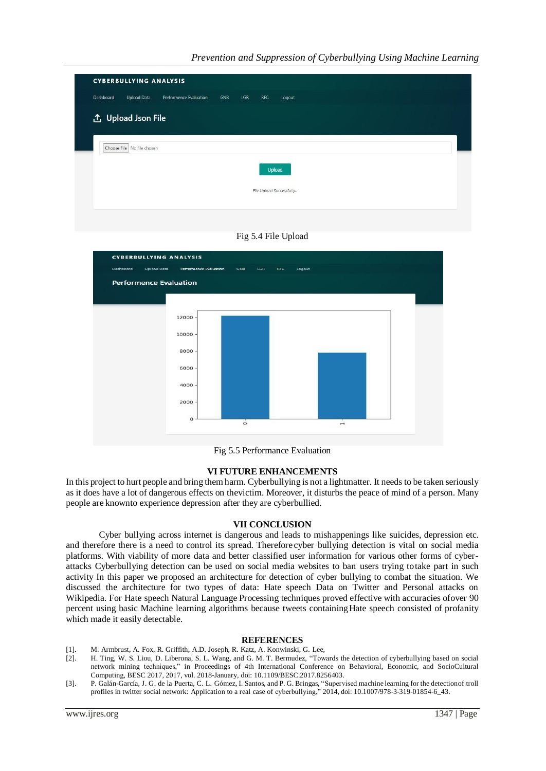| Dashboard | Upload Data                | Performence Evaluation | GNB | LGR | <b>RFC</b> | Logout                   |  |  |  |
|-----------|----------------------------|------------------------|-----|-----|------------|--------------------------|--|--|--|
|           | <b>①</b> Upload Json File  |                        |     |     |            |                          |  |  |  |
|           |                            |                        |     |     |            |                          |  |  |  |
|           | Choose File No file chosen |                        |     |     |            |                          |  |  |  |
|           |                            |                        |     |     |            |                          |  |  |  |
|           |                            |                        |     |     | Upload     |                          |  |  |  |
|           |                            |                        |     |     |            | File Upload Successfully |  |  |  |





Fig 5.5 Performance Evaluation

# **VI FUTURE ENHANCEMENTS**

In this project to hurt people and bring themharm. Cyberbullying is not a lightmatter. It needs to be taken seriously as it does have a lot of dangerous effects on thevictim. Moreover, it disturbs the peace of mind of a person. Many people are knownto experience depression after they are cyberbullied.

# **VII CONCLUSION**

Cyber bullying across internet is dangerous and leads to mishappenings like suicides, depression etc. and therefore there is a need to control its spread. Therefore cyber bullying detection is vital on social media platforms. With viability of more data and better classified user information for various other forms of cyberattacks Cyberbullying detection can be used on social media websites to ban users trying totake part in such activity In this paper we proposed an architecture for detection of cyber bullying to combat the situation. We discussed the architecture for two types of data: Hate speech Data on Twitter and Personal attacks on Wikipedia. For Hate speech Natural Language Processing techniques proved effective with accuracies ofover 90 percent using basic Machine learning algorithms because tweets containingHate speech consisted of profanity which made it easily detectable.

# **REFERENCES**

- [1]. M. Armbrust, A. Fox, R. Griffith, A.D. Joseph, R. Katz, A. Konwinski, G. Lee,
- [2]. H. Ting, W. S. Liou, D. Liberona, S. L. Wang, and G. M. T. Bermudez, "Towards the detection of cyberbullying based on social network mining techniques," in Proceedings of 4th International Conference on Behavioral, Economic, and SocioCultural Computing, BESC 2017, 2017, vol. 2018-January, doi: 10.1109/BESC.2017.8256403.
- [3]. P. Galán-García, J. G. de la Puerta, C. L. Gómez, I. Santos, and P. G. Bringas, "Supervised machine learning for the detectionof troll profiles in twitter social network: Application to a real case of cyberbullying," 2014, doi: 10.1007/978-3-319-01854-6\_43.